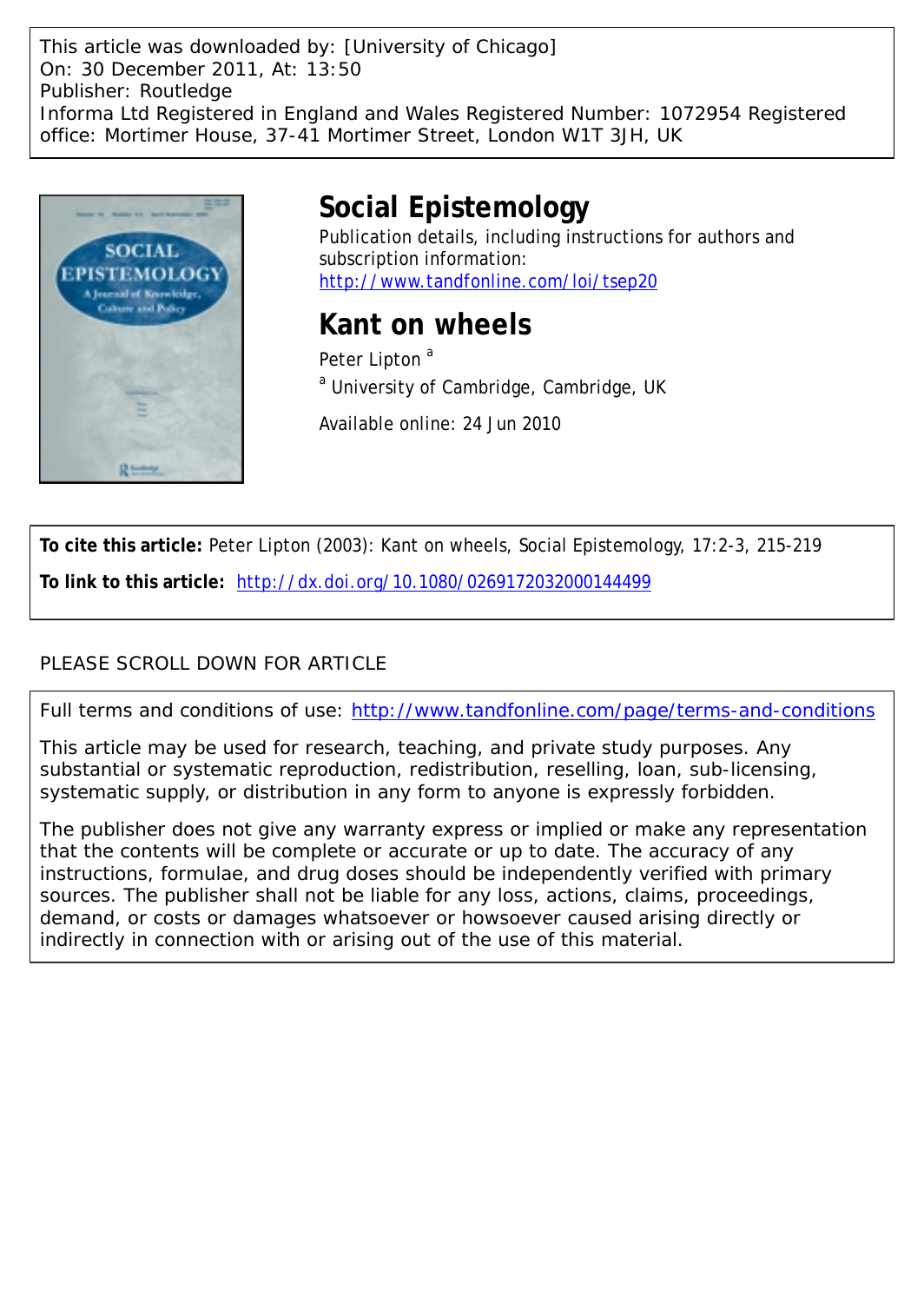This article was downloaded by: [University of Chicago] On: 30 December 2011, At: 13:50 Publisher: Routledge Informa Ltd Registered in England and Wales Registered Number: 1072954 Registered office: Mortimer House, 37-41 Mortimer Street, London W1T 3JH, UK



# **Social Epistemology**

Publication details, including instructions for authors and subscription information: <http://www.tandfonline.com/loi/tsep20>

## **Kant on wheels**

Peter Lipton<sup>a</sup> <sup>a</sup> University of Cambridge, Cambridge, UK

Available online: 24 Jun 2010

**To cite this article:** Peter Lipton (2003): Kant on wheels, Social Epistemology, 17:2-3, 215-219

**To link to this article:** <http://dx.doi.org/10.1080/0269172032000144499>

### PLEASE SCROLL DOWN FOR ARTICLE

Full terms and conditions of use:<http://www.tandfonline.com/page/terms-and-conditions>

This article may be used for research, teaching, and private study purposes. Any substantial or systematic reproduction, redistribution, reselling, loan, sub-licensing, systematic supply, or distribution in any form to anyone is expressly forbidden.

The publisher does not give any warranty express or implied or make any representation that the contents will be complete or accurate or up to date. The accuracy of any instructions, formulae, and drug doses should be independently verified with primary sources. The publisher shall not be liable for any loss, actions, claims, proceedings, demand, or costs or damages whatsoever or howsoever caused arising directly or indirectly in connection with or arising out of the use of this material.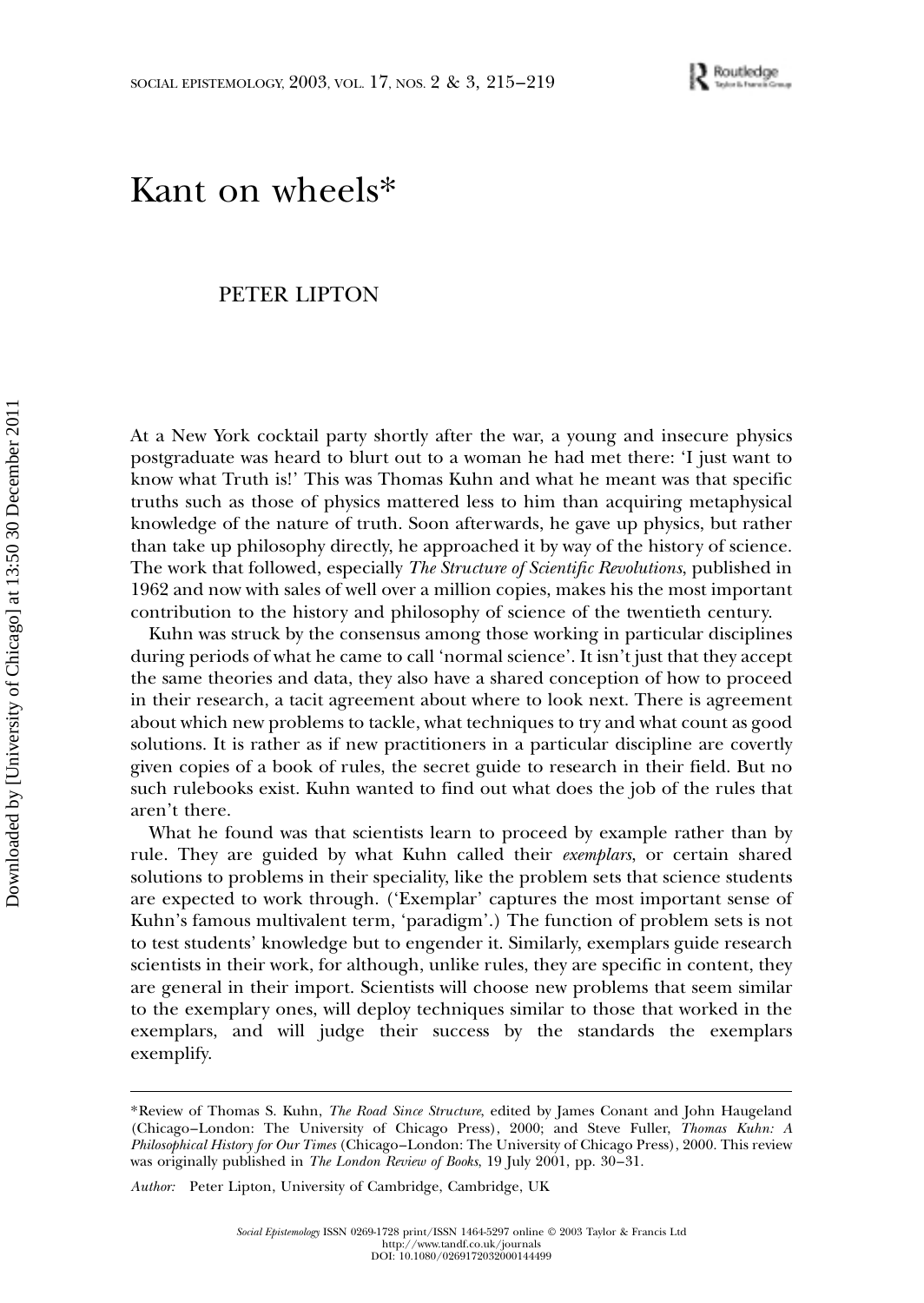## Kant on wheels\*

#### PETER LIPTON

At a New York cocktail party shortly after the war, a young and insecure physics postgraduate was heard to blurt out to a woman he had met there: 'I just want to know what Truth is!' This was Thomas Kuhn and what he meant was that specific truths such as those of physics mattered less to him than acquiring metaphysical knowledge of the nature of truth. Soon afterwards, he gave up physics, but rather than take up philosophy directly, he approached it by way of the history of science. The work that followed, especially *The Structure of Scientific Revolutions*, published in 1962 and now with sales of well over a million copies, makes his the most important contribution to the history and philosophy of science of the twentieth century.

Kuhn was struck by the consensus among those working in particular disciplines during periods of what he came to call 'normal science'. It isn't just that they accept the same theories and data, they also have a shared conception of how to proceed in their research, a tacit agreement about where to look next. There is agreement about which new problems to tackle, what techniques to try and what count as good solutions. It is rather as if new practitioners in a particular discipline are covertly given copies of a book of rules, the secret guide to research in their field. But no such rulebooks exist. Kuhn wanted to find out what does the job of the rules that aren't there.

What he found was that scientists learn to proceed by example rather than by rule. They are guided by what Kuhn called their *exemplars*, or certain shared solutions to problems in their speciality, like the problem sets that science students are expected to work through. ('Exemplar' captures the most important sense of Kuhn's famous multivalent term, 'paradigm'.) The function of problem sets is not to test students' knowledge but to engender it. Similarly, exemplars guide research scientists in their work, for although, unlike rules, they are specific in content, they are general in their import. Scientists will choose new problems that seem similar to the exemplary ones, will deploy techniques similar to those that worked in the exemplars, and will judge their success by the standards the exemplars exemplify.

<sup>\*</sup>Review of Thomas S. Kuhn, *The Road Since Structure*, edited by James Conant and John Haugeland (Chicago–London: The University of Chicago Press), 2000; and Steve Fuller, *Thomas Kuhn: A Philosophical History for Our Times* (Chicago–London: The University of Chicago Press), 2000. This review was originally published in *The London Review of Books*, 19 July 2001, pp. 30–31.

*Author:* Peter Lipton, University of Cambridge, Cambridge, UK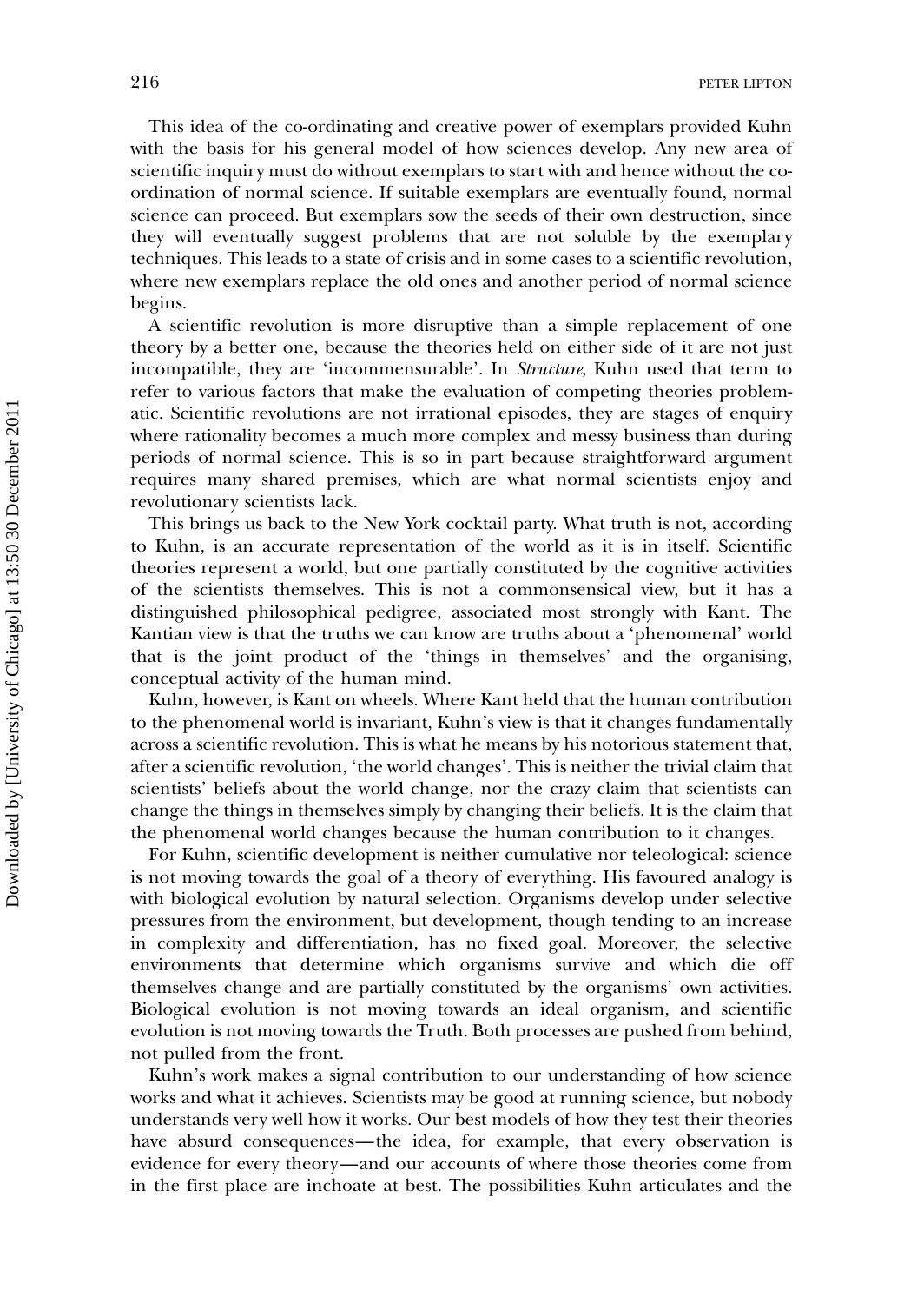This idea of the co-ordinating and creative power of exemplars provided Kuhn with the basis for his general model of how sciences develop. Any new area of scientific inquiry must do without exemplars to start with and hence without the coordination of normal science. If suitable exemplars are eventually found, normal science can proceed. But exemplars sow the seeds of their own destruction, since they will eventually suggest problems that are not soluble by the exemplary techniques. This leads to a state of crisis and in some cases to a scientific revolution, where new exemplars replace the old ones and another period of normal science begins.

A scientific revolution is more disruptive than a simple replacement of one theory by a better one, because the theories held on either side of it are not just incompatible, they are 'incommensurable'. In *Structure*, Kuhn used that term to refer to various factors that make the evaluation of competing theories problematic. Scientific revolutions are not irrational episodes, they are stages of enquiry where rationality becomes a much more complex and messy business than during periods of normal science. This is so in part because straightforward argument requires many shared premises, which are what normal scientists enjoy and revolutionary scientists lack.

This brings us back to the New York cocktail party. What truth is not, according to Kuhn, is an accurate representation of the world as it is in itself. Scientific theories represent a world, but one partially constituted by the cognitive activities of the scientists themselves. This is not a commonsensical view, but it has a distinguished philosophical pedigree, associated most strongly with Kant. The Kantian view is that the truths we can know are truths about a 'phenomenal' world that is the joint product of the 'things in themselves' and the organising, conceptual activity of the human mind.

Kuhn, however, is Kant on wheels. Where Kant held that the human contribution to the phenomenal world is invariant, Kuhn's view is that it changes fundamentally across a scientific revolution. This is what he means by his notorious statement that, after a scientific revolution, 'the world changes'. This is neither the trivial claim that scientists' beliefs about the world change, nor the crazy claim that scientists can change the things in themselves simply by changing their beliefs. It is the claim that the phenomenal world changes because the human contribution to it changes.

For Kuhn, scientific development is neither cumulative nor teleological: science is not moving towards the goal of a theory of everything. His favoured analogy is with biological evolution by natural selection. Organisms develop under selective pressures from the environment, but development, though tending to an increase in complexity and differentiation, has no fixed goal. Moreover, the selective environments that determine which organisms survive and which die off themselves change and are partially constituted by the organisms' own activities. Biological evolution is not moving towards an ideal organism, and scientific evolution is not moving towards the Truth. Both processes are pushed from behind, not pulled from the front.

Kuhn's work makes a signal contribution to our understanding of how science works and what it achieves. Scientists may be good at running science, but nobody understands very well how it works. Our best models of how they test their theories have absurd consequences—the idea, for example, that every observation is evidence for every theory—and our accounts of where those theories come from in the first place are inchoate at best. The possibilities Kuhn articulates and the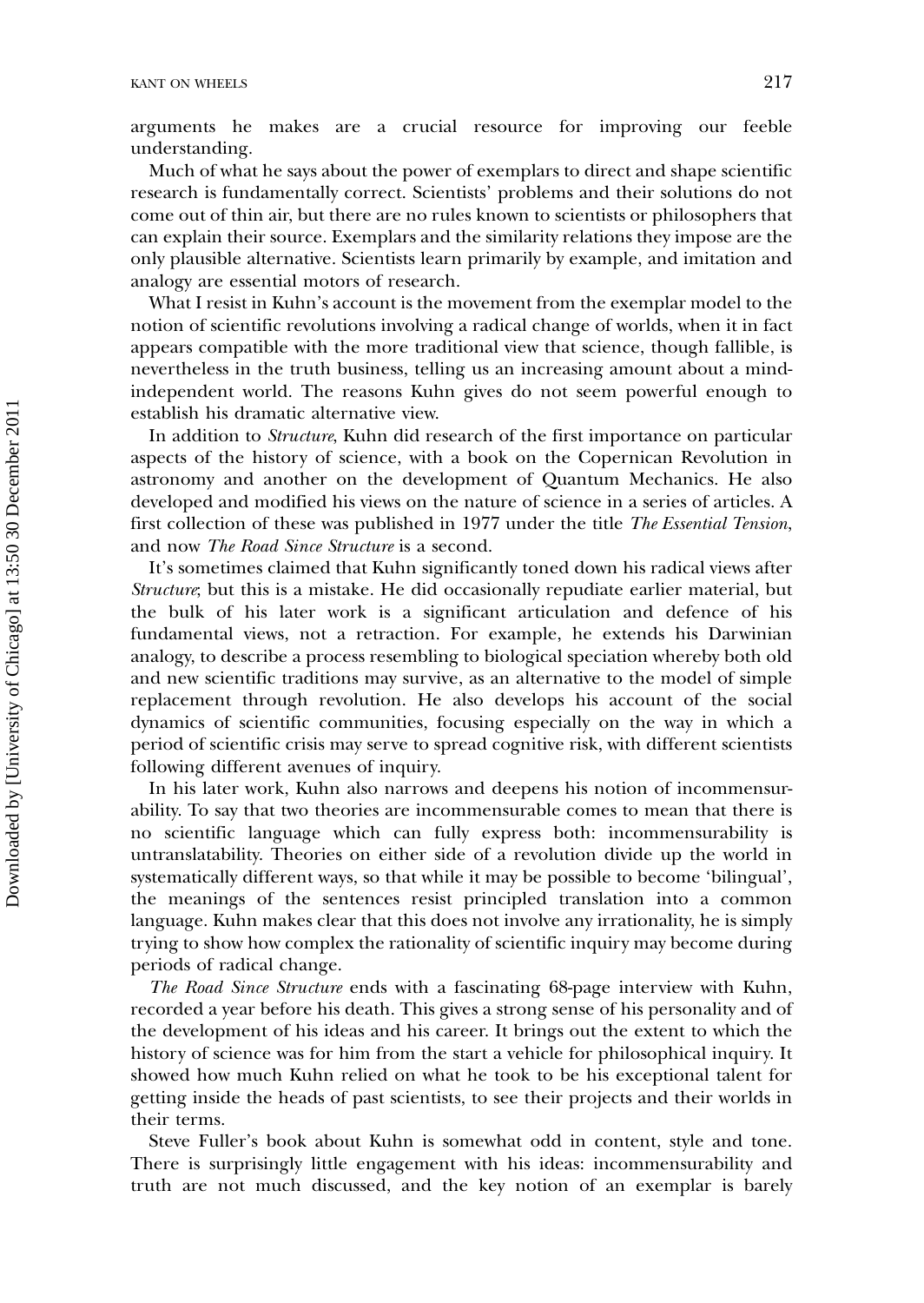arguments he makes are a crucial resource for improving our feeble understanding.

Much of what he says about the power of exemplars to direct and shape scientific research is fundamentally correct. Scientists' problems and their solutions do not come out of thin air, but there are no rules known to scientists or philosophers that can explain their source. Exemplars and the similarity relations they impose are the only plausible alternative. Scientists learn primarily by example, and imitation and analogy are essential motors of research.

What I resist in Kuhn's account is the movement from the exemplar model to the notion of scientific revolutions involving a radical change of worlds, when it in fact appears compatible with the more traditional view that science, though fallible, is nevertheless in the truth business, telling us an increasing amount about a mindindependent world. The reasons Kuhn gives do not seem powerful enough to establish his dramatic alternative view.

In addition to *Structure*, Kuhn did research of the first importance on particular aspects of the history of science, with a book on the Copernican Revolution in astronomy and another on the development of Quantum Mechanics. He also developed and modified his views on the nature of science in a series of articles. A first collection of these was published in 1977 under the title *The Essential Tension*, and now *The Road Since Structure* is a second.

It's sometimes claimed that Kuhn significantly toned down his radical views after *Structure*; but this is a mistake. He did occasionally repudiate earlier material, but the bulk of his later work is a significant articulation and defence of his fundamental views, not a retraction. For example, he extends his Darwinian analogy, to describe a process resembling to biological speciation whereby both old and new scientific traditions may survive, as an alternative to the model of simple replacement through revolution. He also develops his account of the social dynamics of scientific communities, focusing especially on the way in which a period of scientific crisis may serve to spread cognitive risk, with different scientists following different avenues of inquiry.

In his later work, Kuhn also narrows and deepens his notion of incommensurability. To say that two theories are incommensurable comes to mean that there is no scientific language which can fully express both: incommensurability is untranslatability. Theories on either side of a revolution divide up the world in systematically different ways, so that while it may be possible to become 'bilingual', the meanings of the sentences resist principled translation into a common language. Kuhn makes clear that this does not involve any irrationality, he is simply trying to show how complex the rationality of scientific inquiry may become during periods of radical change.

*The Road Since Structure* ends with a fascinating 68-page interview with Kuhn, recorded a year before his death. This gives a strong sense of his personality and of the development of his ideas and his career. It brings out the extent to which the history of science was for him from the start a vehicle for philosophical inquiry. It showed how much Kuhn relied on what he took to be his exceptional talent for getting inside the heads of past scientists, to see their projects and their worlds in their terms.

Steve Fuller's book about Kuhn is somewhat odd in content, style and tone. There is surprisingly little engagement with his ideas: incommensurability and truth are not much discussed, and the key notion of an exemplar is barely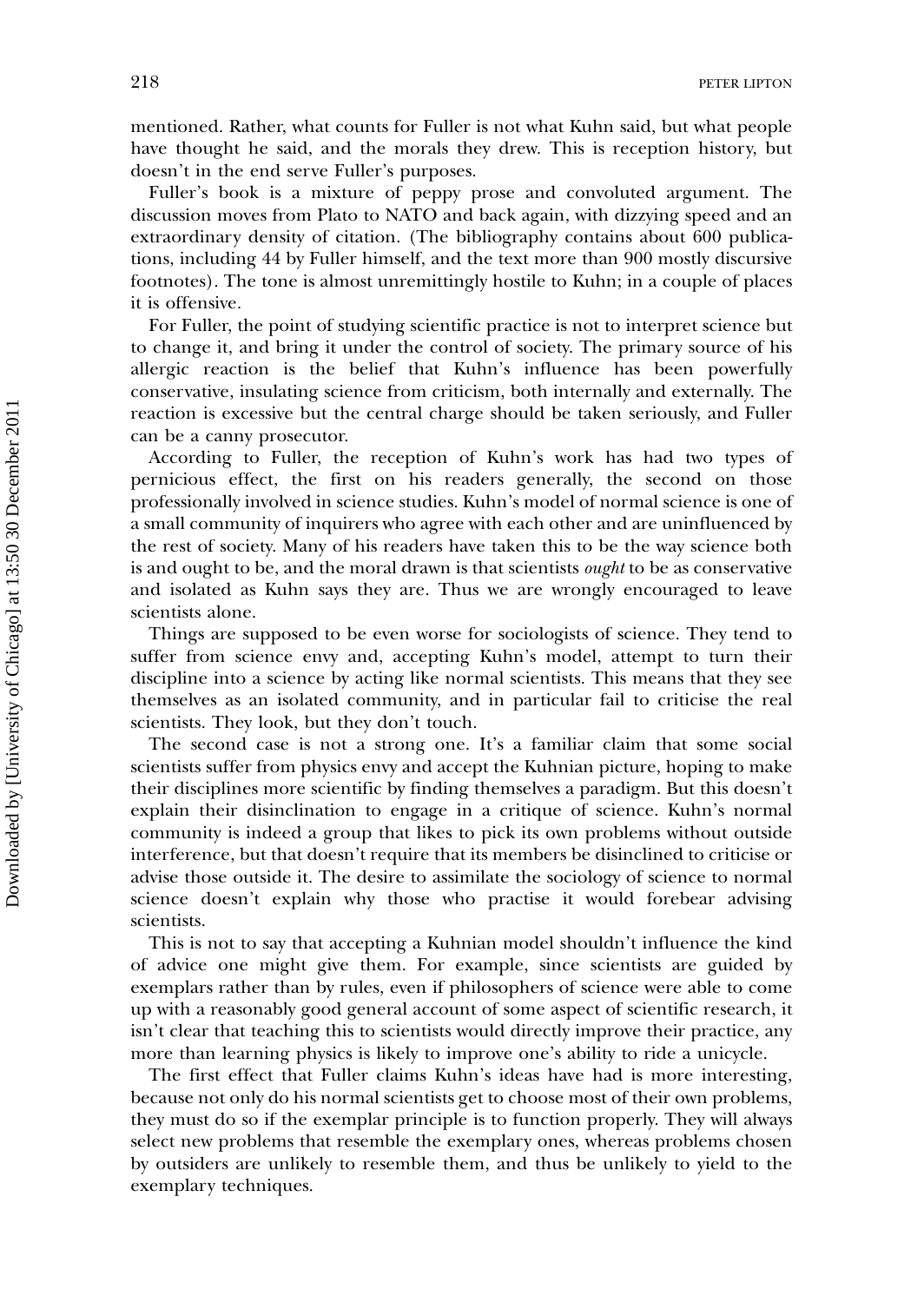218 **PETER LIPTON** 

mentioned. Rather, what counts for Fuller is not what Kuhn said, but what people have thought he said, and the morals they drew. This is reception history, but doesn't in the end serve Fuller's purposes.

Fuller's book is a mixture of peppy prose and convoluted argument. The discussion moves from Plato to NATO and back again, with dizzying speed and an extraordinary density of citation. (The bibliography contains about 600 publications, including 44 by Fuller himself, and the text more than 900 mostly discursive footnotes). The tone is almost unremittingly hostile to Kuhn; in a couple of places it is offensive.

For Fuller, the point of studying scientific practice is not to interpret science but to change it, and bring it under the control of society. The primary source of his allergic reaction is the belief that Kuhn's influence has been powerfully conservative, insulating science from criticism, both internally and externally. The reaction is excessive but the central charge should be taken seriously, and Fuller can be a canny prosecutor.

According to Fuller, the reception of Kuhn's work has had two types of pernicious effect, the first on his readers generally, the second on those professionally involved in science studies. Kuhn's model of normal science is one of a small community of inquirers who agree with each other and are uninfluenced by the rest of society. Many of his readers have taken this to be the way science both is and ought to be, and the moral drawn is that scientists *ought* to be as conservative and isolated as Kuhn says they are. Thus we are wrongly encouraged to leave scientists alone.

Things are supposed to be even worse for sociologists of science. They tend to suffer from science envy and, accepting Kuhn's model, attempt to turn their discipline into a science by acting like normal scientists. This means that they see themselves as an isolated community, and in particular fail to criticise the real scientists. They look, but they don't touch.

The second case is not a strong one. It's a familiar claim that some social scientists suffer from physics envy and accept the Kuhnian picture, hoping to make their disciplines more scientific by finding themselves a paradigm. But this doesn't explain their disinclination to engage in a critique of science. Kuhn's normal community is indeed a group that likes to pick its own problems without outside interference, but that doesn't require that its members be disinclined to criticise or advise those outside it. The desire to assimilate the sociology of science to normal science doesn't explain why those who practise it would forebear advising scientists.

This is not to say that accepting a Kuhnian model shouldn't influence the kind of advice one might give them. For example, since scientists are guided by exemplars rather than by rules, even if philosophers of science were able to come up with a reasonably good general account of some aspect of scientific research, it isn't clear that teaching this to scientists would directly improve their practice, any more than learning physics is likely to improve one's ability to ride a unicycle.

The first effect that Fuller claims Kuhn's ideas have had is more interesting, because not only do his normal scientists get to choose most of their own problems, they must do so if the exemplar principle is to function properly. They will always select new problems that resemble the exemplary ones, whereas problems chosen by outsiders are unlikely to resemble them, and thus be unlikely to yield to the exemplary techniques.